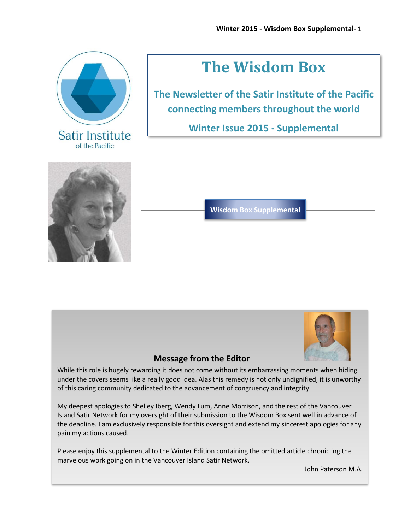

# **The Wisdom Box**

**The Newsletter of the Satir Institute of the Pacific connecting members throughout the world** 

**Winter Issue 2015 - Supplemental**



**Wisdom Box Supplemental**



### **Message from the Editor**

While this role is hugely rewarding it does not come without its embarrassing moments when hiding under the covers seems like a really good idea. Alas this remedy is not only undignified, it is unworthy of this caring community dedicated to the advancement of congruency and integrity.

My deepest apologies to Shelley Iberg, Wendy Lum, Anne Morrison, and the rest of the Vancouver Island Satir Network for my oversight of their submission to the Wisdom Box sent well in advance of the deadline. I am exclusively responsible for this oversight and extend my sincerest apologies for any pain my actions caused.

Please enjoy this supplemental to the Winter Edition containing the omitted article chronicling the marvelous work going on in the Vancouver Island Satir Network.

John Paterson M.A.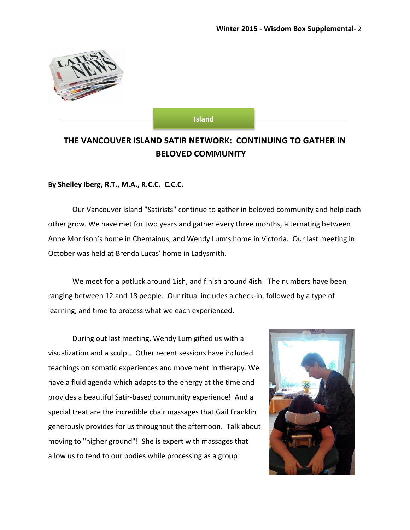

#### **Island**

## **THE VANCOUVER ISLAND SATIR NETWORK: CONTINUING TO GATHER IN BELOVED COMMUNITY**

#### **By Shelley Iberg, R.T., M.A., R.C.C. C.C.C.**

Our Vancouver Island "Satirists" continue to gather in beloved community and help each other grow. We have met for two years and gather every three months, alternating between Anne Morrison's home in Chemainus, and Wendy Lum's home in Victoria. Our last meeting in October was held at Brenda Lucas' home in Ladysmith.

We meet for a potluck around 1ish, and finish around 4ish. The numbers have been ranging between 12 and 18 people. Our ritual includes a check-in, followed by a type of learning, and time to process what we each experienced.

During out last meeting, Wendy Lum gifted us with a visualization and a sculpt. Other recent sessions have included teachings on somatic experiences and movement in therapy. We have a fluid agenda which adapts to the energy at the time and provides a beautiful Satir-based community experience! And a special treat are the incredible chair massages that Gail Franklin generously provides for us throughout the afternoon. Talk about moving to "higher ground"! She is expert with massages that allow us to tend to our bodies while processing as a group!